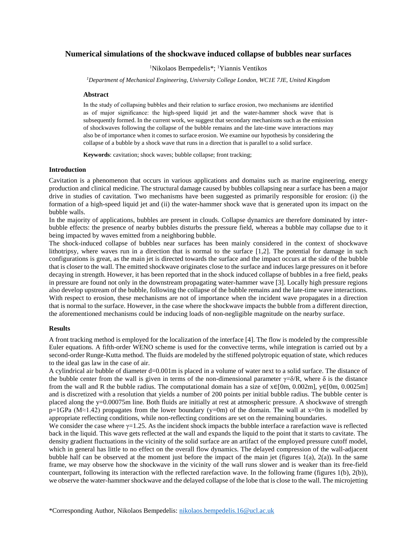# **Numerical simulations of the shockwave induced collapse of bubbles near surfaces**

<sup>1</sup>Nikolaos Bempedelis\*; <sup>1</sup>Yiannis Ventikos

*<sup>1</sup>Department of Mechanical Engineering, University College London, WC1E 7JE, United Kingdom*

## **Abstract**

In the study of collapsing bubbles and their relation to surface erosion, two mechanisms are identified as of major significance: the high-speed liquid jet and the water-hammer shock wave that is subsequently formed. In the current work, we suggest that secondary mechanisms such as the emission of shockwaves following the collapse of the bubble remains and the late-time wave interactions may also be of importance when it comes to surface erosion. We examine our hypothesis by considering the collapse of a bubble by a shock wave that runs in a direction that is parallel to a solid surface.

**Keywords**: cavitation; shock waves; bubble collapse; front tracking;

### **Introduction**

Cavitation is a phenomenon that occurs in various applications and domains such as marine engineering, energy production and clinical medicine. The structural damage caused by bubbles collapsing near a surface has been a major drive in studies of cavitation. Two mechanisms have been suggested as primarily responsible for erosion: (i) the formation of a high-speed liquid jet and (ii) the water-hammer shock wave that is generated upon its impact on the bubble walls.

In the majority of applications, bubbles are present in clouds. Collapse dynamics are therefore dominated by interbubble effects: the presence of nearby bubbles disturbs the pressure field, whereas a bubble may collapse due to it being impacted by waves emitted from a neighboring bubble.

The shock-induced collapse of bubbles near surfaces has been mainly considered in the context of shockwave lithotripsy, where waves run in a direction that is normal to the surface [1,2]. The potential for damage in such configurations is great, as the main jet is directed towards the surface and the impact occurs at the side of the bubble that is closer to the wall. The emitted shockwave originates close to the surface and induces large pressures on it before decaying in strength. However, it has been reported that in the shock induced collapse of bubbles in a free field, peaks in pressure are found not only in the downstream propagating water-hammer wave [3]. Locally high pressure regions also develop upstream of the bubble, following the collapse of the bubble remains and the late-time wave interactions. With respect to erosion, these mechanisms are not of importance when the incident wave propagates in a direction that is normal to the surface. However, in the case where the shockwave impacts the bubble from a different direction, the aforementioned mechanisms could be inducing loads of non-negligible magnitude on the nearby surface.

#### **Results**

A front tracking method is employed for the localization of the interface [4]. The flow is modeled by the compressible Euler equations. A fifth-order WENO scheme is used for the convective terms, while integration is carried out by a second-order Runge-Kutta method. The fluids are modeled by the stiffened polytropic equation of state, which reduces to the ideal gas law in the case of air.

A cylindrical air bubble of diameter d=0.001m is placed in a volume of water next to a solid surface. The distance of the bubble center from the wall is given in terms of the non-dimensional parameter  $\gamma = \delta/R$ , where  $\delta$  is the distance from the wall and R the bubble radius. The computational domain has a size of  $x \in [0m, 0.002m]$ ,  $y \in [0m, 0.0025m]$ and is discretized with a resolution that yields a number of 200 points per initial bubble radius. The bubble center is placed along the y=0.00075m line. Both fluids are initially at rest at atmospheric pressure. A shockwave of strength p=1GPa (M≈1.42) propagates from the lower boundary (y=0m) of the domain. The wall at x=0m is modelled by appropriate reflecting conditions, while non-reflecting conditions are set on the remaining boundaries.

We consider the case where  $\gamma = 1.25$ . As the incident shock impacts the bubble interface a rarefaction wave is reflected back in the liquid. This wave gets reflected at the wall and expands the liquid to the point that it starts to cavitate. The density gradient fluctuations in the vicinity of the solid surface are an artifact of the employed pressure cutoff model, which in general has little to no effect on the overall flow dynamics. The delayed compression of the wall-adjacent bubble half can be observed at the moment just before the impact of the main jet (figures 1(a), 2(a)). In the same frame, we may observe how the shockwave in the vicinity of the wall runs slower and is weaker than its free-field counterpart, following its interaction with the reflected rarefaction wave. In the following frame (figures 1(b), 2(b)), we observe the water-hammer shockwave and the delayed collapse of the lobe that is close to the wall. The microjetting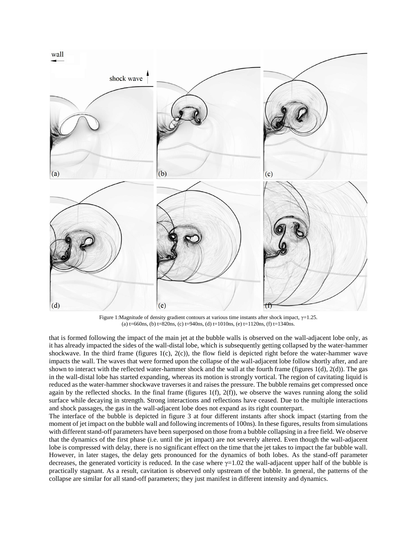

Figure 1:Magnitude of density gradient contours at various time instants after shock impact,  $\gamma$ =1.25. (a)  $t=660$ ns, (b)  $t=820$ ns, (c)  $t=940$ ns, (d)  $t=1010$ ns, (e)  $t=1120$ ns, (f)  $t=1340$ ns.

that is formed following the impact of the main jet at the bubble walls is observed on the wall-adjacent lobe only, as it has already impacted the sides of the wall-distal lobe, which is subsequently getting collapsed by the water-hammer shockwave. In the third frame (figures 1(c), 2(c)), the flow field is depicted right before the water-hammer wave impacts the wall. The waves that were formed upon the collapse of the wall-adjacent lobe follow shortly after, and are shown to interact with the reflected water-hammer shock and the wall at the fourth frame (figures 1(d), 2(d)). The gas in the wall-distal lobe has started expanding, whereas its motion is strongly vortical. The region of cavitating liquid is reduced as the water-hammer shockwave traverses it and raises the pressure. The bubble remains get compressed once again by the reflected shocks. In the final frame (figures  $1(f)$ ,  $2(f)$ ), we observe the waves running along the solid surface while decaying in strength. Strong interactions and reflections have ceased. Due to the multiple interactions and shock passages, the gas in the wall-adjacent lobe does not expand as its right counterpart.

The interface of the bubble is depicted in figure 3 at four different instants after shock impact (starting from the moment of jet impact on the bubble wall and following increments of 100ns). In these figures, results from simulations with different stand-off parameters have been superposed on those from a bubble collapsing in a free field. We observe that the dynamics of the first phase (i.e. until the jet impact) are not severely altered. Even though the wall-adjacent lobe is compressed with delay, there is no significant effect on the time that the jet takes to impact the far bubble wall. However, in later stages, the delay gets pronounced for the dynamics of both lobes. As the stand-off parameter decreases, the generated vorticity is reduced. In the case where  $\gamma = 1.02$  the wall-adjacent upper half of the bubble is practically stagnant. As a result, cavitation is observed only upstream of the bubble. In general, the patterns of the collapse are similar for all stand-off parameters; they just manifest in different intensity and dynamics.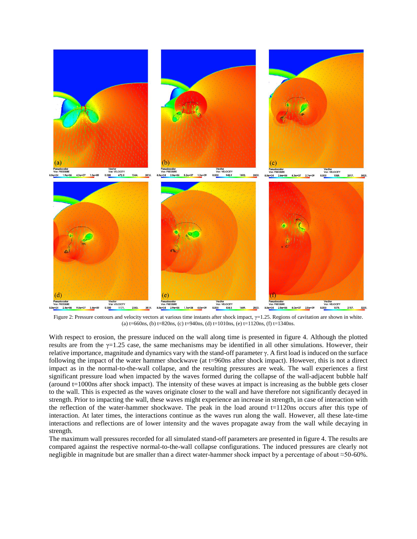

Figure 2: Pressure contours and velocity vectors at various time instants after shock impact, γ=1.25. Regions of cavitation are shown in white. (a)  $t=660$ ns, (b)  $t=820$ ns, (c)  $t=940$ ns, (d)  $t=1010$ ns, (e)  $t=1120$ ns, (f)  $t=1340$ ns.

With respect to erosion, the pressure induced on the wall along time is presented in figure 4. Although the plotted results are from the  $\gamma=1.25$  case, the same mechanisms may be identified in all other simulations. However, their relative importance, magnitude and dynamics vary with the stand-off parameter  $\gamma$ . A first load is induced on the surface following the impact of the water hammer shockwave (at t=960ns after shock impact). However, this is not a direct impact as in the normal-to-the-wall collapse, and the resulting pressures are weak. The wall experiences a first significant pressure load when impacted by the waves formed during the collapse of the wall-adjacent bubble half (around  $t=1000$ ns after shock impact). The intensity of these waves at impact is increasing as the bubble gets closer to the wall. This is expected as the waves originate closer to the wall and have therefore not significantly decayed in strength. Prior to impacting the wall, these waves might experience an increase in strength, in case of interaction with the reflection of the water-hammer shockwave. The peak in the load around  $t=1120$ ns occurs after this type of interaction. At later times, the interactions continue as the waves run along the wall. However, all these late-time interactions and reflections are of lower intensity and the waves propagate away from the wall while decaying in strength.

The maximum wall pressures recorded for all simulated stand-off parameters are presented in figure 4. The results are compared against the respective normal-to-the-wall collapse configurations. The induced pressures are clearly not negligible in magnitude but are smaller than a direct water-hammer shock impact by a percentage of about ≈50-60%.